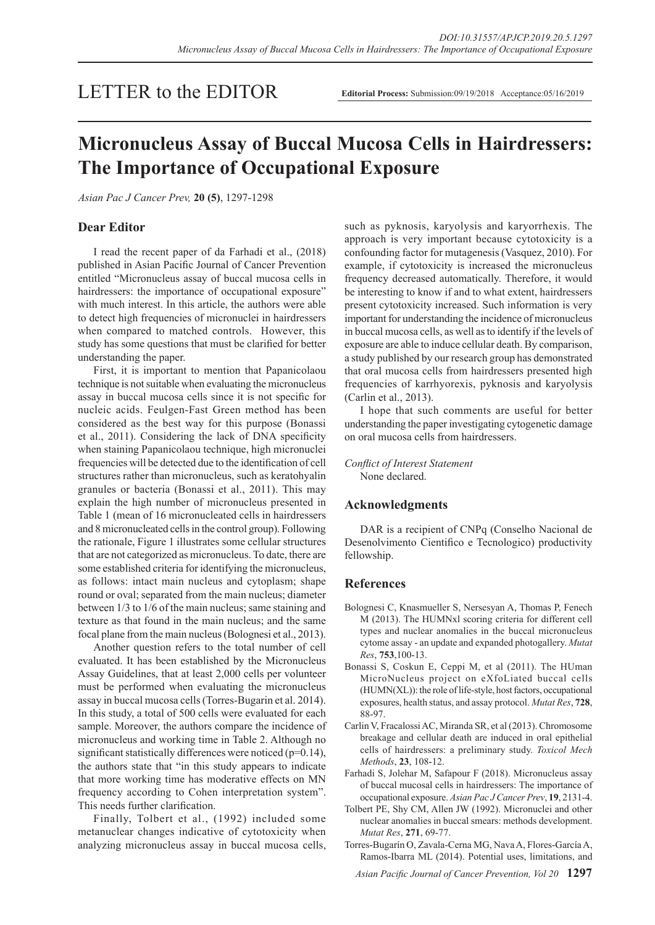## LETTER to the EDITOR

# **Micronucleus Assay of Buccal Mucosa Cells in Hairdressers: The Importance of Occupational Exposure**

*Asian Pac J Cancer Prev,* **20 (5)**, 1297-1298

#### **Dear Editor**

I read the recent paper of da Farhadi et al., (2018) published in Asian Pacific Journal of Cancer Prevention entitled "Micronucleus assay of buccal mucosa cells in hairdressers: the importance of occupational exposure" with much interest. In this article, the authors were able to detect high frequencies of micronuclei in hairdressers when compared to matched controls. However, this study has some questions that must be clarified for better understanding the paper.

First, it is important to mention that Papanicolaou technique is not suitable when evaluating the micronucleus assay in buccal mucosa cells since it is not specific for nucleic acids. Feulgen-Fast Green method has been considered as the best way for this purpose (Bonassi et al., 2011). Considering the lack of DNA specificity when staining Papanicolaou technique, high micronuclei frequencies will be detected due to the identification of cell structures rather than micronucleus, such as keratohyalin granules or bacteria (Bonassi et al., 2011). This may explain the high number of micronucleus presented in Table 1 (mean of 16 micronucleated cells in hairdressers and 8 micronucleated cells in the control group). Following the rationale, Figure 1 illustrates some cellular structures that are not categorized as micronucleus. To date, there are some established criteria for identifying the micronucleus, as follows: intact main nucleus and cytoplasm; shape round or oval; separated from the main nucleus; diameter between 1/3 to 1/6 of the main nucleus; same staining and texture as that found in the main nucleus; and the same focal plane from the main nucleus (Bolognesi et al., 2013).

Another question refers to the total number of cell evaluated. It has been established by the Micronucleus Assay Guidelines, that at least 2,000 cells per volunteer must be performed when evaluating the micronucleus assay in buccal mucosa cells (Torres-Bugarin et al. 2014). In this study, a total of 500 cells were evaluated for each sample. Moreover, the authors compare the incidence of micronucleus and working time in Table 2. Although no significant statistically differences were noticed  $(p=0.14)$ , the authors state that "in this study appears to indicate that more working time has moderative effects on MN frequency according to Cohen interpretation system". This needs further clarification.

Finally, Tolbert et al., (1992) included some metanuclear changes indicative of cytotoxicity when analyzing micronucleus assay in buccal mucosa cells,

such as pyknosis, karyolysis and karyorrhexis. The approach is very important because cytotoxicity is a confounding factor for mutagenesis (Vasquez, 2010). For example, if cytotoxicity is increased the micronucleus frequency decreased automatically. Therefore, it would be interesting to know if and to what extent, hairdressers present cytotoxicity increased. Such information is very important for understanding the incidence of micronucleus in buccal mucosa cells, as well as to identify if the levels of exposure are able to induce cellular death. By comparison, a study published by our research group has demonstrated that oral mucosa cells from hairdressers presented high frequencies of karrhyorexis, pyknosis and karyolysis (Carlin et al., 2013).

I hope that such comments are useful for better understanding the paper investigating cytogenetic damage on oral mucosa cells from hairdressers.

*Conflict of Interest Statement* None declared.

#### **Acknowledgments**

DAR is a recipient of CNPq (Conselho Nacional de Desenolvimento Cientifico e Tecnologico) productivity fellowship.

#### **References**

- Bolognesi C, Knasmueller S, Nersesyan A, Thomas P, Fenech M (2013). The HUMNxl scoring criteria for different cell types and nuclear anomalies in the buccal micronucleus cytome assay - an update and expanded photogallery. *Mutat Res*, **753**,100-13.
- Bonassi S, Coskun E, Ceppi M, et al (2011). The HUman MicroNucleus project on eXfoLiated buccal cells (HUMN(XL)): the role of life-style, host factors, occupational exposures, health status, and assay protocol. *Mutat Res*, **728**, 88-97.
- Carlin V, Fracalossi AC, Miranda SR, et al (2013). Chromosome breakage and cellular death are induced in oral epithelial cells of hairdressers: a preliminary study. *Toxicol Mech Methods*, **23**, 108-12.
- Farhadi S, Jolehar M, Safapour F (2018). Micronucleus assay of buccal mucosal cells in hairdressers: The importance of occupational exposure. *Asian Pac J Cancer Prev*, **19**, 2131-4.
- Tolbert PE, Shy CM, Allen JW (1992). Micronuclei and other nuclear anomalies in buccal smears: methods development. *Mutat Res*, **271**, 69-77.
- Torres-Bugarín O, Zavala-Cerna MG, Nava A, Flores-García A, Ramos-Ibarra ML (2014). Potential uses, limitations, and

*Asian Pacific Journal of Cancer Prevention, Vol 20* **1297**